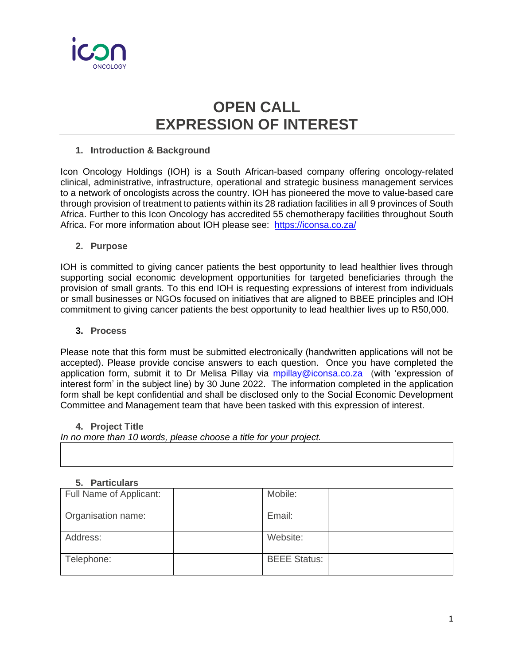

# **OPEN CALL EXPRESSION OF INTEREST**

## **1. Introduction & Background**

Icon Oncology Holdings (IOH) is a South African-based company offering oncology-related clinical, administrative, infrastructure, operational and strategic business management services to a network of oncologists across the country. IOH has pioneered the move to value-based care through provision of treatment to patients within its 28 radiation facilities in all 9 provinces of South Africa. Further to this Icon Oncology has accredited 55 chemotherapy facilities throughout South Africa. For more information about IOH please see: https://iconsa.co.za/

#### **2. Purpose**

IOH is committed to giving cancer patients the best opportunity to lead healthier lives through supporting social economic development opportunities for targeted beneficiaries through the provision of small grants. To this end IOH is requesting expressions of interest from individuals or small businesses or NGOs focused on initiatives that are aligned to BBEE principles and IOH commitment to giving cancer patients the best opportunity to lead healthier lives up to R50,000.

## **3. Process**

Please note that this form must be submitted electronically (handwritten applications will not be accepted). Please provide concise answers to each question. Once you have completed the application form, submit it to Dr Melisa Pillay via [mpillay@iconsa.co.za](mailto:mpillay@iconsa.co.za) (with 'expression of interest form' in the subject line) by 30 June 2022. The information completed in the application form shall be kept confidential and shall be disclosed only to the Social Economic Development Committee and Management team that have been tasked with this expression of interest.

# **4. Project Title**

*In no more than 10 words, please choose a title for your project.* 

## **5. Particulars**

| Full Name of Applicant: | Mobile:             |  |
|-------------------------|---------------------|--|
| Organisation name:      | Email:              |  |
| Address:                | Website:            |  |
| Telephone:              | <b>BEEE Status:</b> |  |